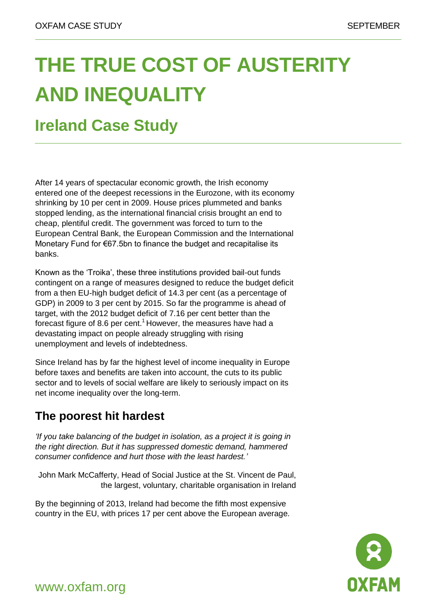# **THE TRUE COST OF AUSTERITY AND INEQUALITY**

## **Ireland Case Study**

After 14 years of spectacular economic growth, the Irish economy entered one of the deepest recessions in the Eurozone, with its economy shrinking by 10 per cent in 2009. House prices plummeted and banks stopped lending, as the international financial crisis brought an end to cheap, plentiful credit. The government was forced to turn to the European Central Bank, the European Commission and the International Monetary Fund for €67.5bn to finance the budget and recapitalise its banks.

Known as the 'Troika', these three institutions provided bail-out funds contingent on a range of measures designed to reduce the budget deficit from a then EU-high budget deficit of 14.3 per cent (as a percentage of GDP) in 2009 to 3 per cent by 2015. So far the programme is ahead of target, with the 2012 budget deficit of 7.16 per cent better than the forecast figure of 8.6 per cent.<sup>1</sup> However, the measures have had a devastating impact on people already struggling with rising unemployment and levels of indebtedness.

Since Ireland has by far the highest level of income inequality in Europe before taxes and benefits are taken into account, the cuts to its public sector and to levels of social welfare are likely to seriously impact on its net income inequality over the long-term.

### **The poorest hit hardest**

*'If you take balancing of the budget in isolation, as a project it is going in the right direction. But it has suppressed domestic demand, hammered consumer confidence and hurt those with the least hardest.'*

John Mark McCafferty, Head of Social Justice at the St. Vincent de Paul, the largest, voluntary, charitable organisation in Ireland

By the beginning of 2013, Ireland had become the fifth most expensive country in the EU, with prices 17 per cent above the European average.



www.oxfam.org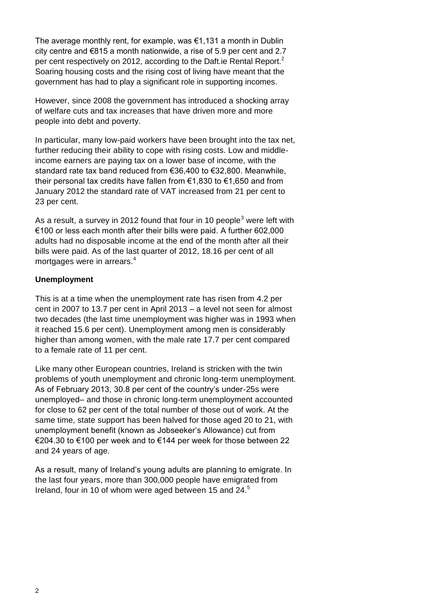The average monthly rent, for example, was €1,131 a month in Dublin city centre and €815 a month nationwide, a rise of 5.9 per cent and 2.7 per cent respectively on 2012, according to the Daft.ie Rental Report.<sup>2</sup> Soaring housing costs and the rising cost of living have meant that the government has had to play a significant role in supporting incomes.

However, since 2008 the government has introduced a shocking array of welfare cuts and tax increases that have driven more and more people into debt and poverty.

In particular, many low-paid workers have been brought into the tax net, further reducing their ability to cope with rising costs. Low and middleincome earners are paying tax on a lower base of income, with the standard rate tax band reduced from €36,400 to €32,800. Meanwhile, their personal tax credits have fallen from €1,830 to €1,650 and from January 2012 the standard rate of VAT increased from 21 per cent to 23 per cent.

As a result, a survey in 2012 found that four in 10 people<sup>3</sup> were left with €100 or less each month after their bills were paid. A further 602,000 adults had no disposable income at the end of the month after all their bills were paid. As of the last quarter of 2012, 18.16 per cent of all mortgages were in arrears.<sup>4</sup>

#### **Unemployment**

This is at a time when the unemployment rate has risen from 4.2 per cent in 2007 to 13.7 per cent in April 2013 – a level not seen for almost two decades (the last time unemployment was higher was in 1993 when it reached 15.6 per cent). Unemployment among men is considerably higher than among women, with the male rate 17.7 per cent compared to a female rate of 11 per cent.

Like many other European countries, Ireland is stricken with the twin problems of youth unemployment and chronic long-term unemployment. As of February 2013, 30.8 per cent of the country's under-25s were unemployed– and those in chronic long-term unemployment accounted for close to 62 per cent of the total number of those out of work. At the same time, state support has been halved for those aged 20 to 21, with unemployment benefit (known as Jobseeker's Allowance) cut from €204.30 to €100 per week and to €144 per week for those between 22 and 24 years of age.

As a result, many of Ireland's young adults are planning to emigrate. In the last four years, more than 300,000 people have emigrated from Ireland, four in 10 of whom were aged between 15 and 24.<sup>5</sup>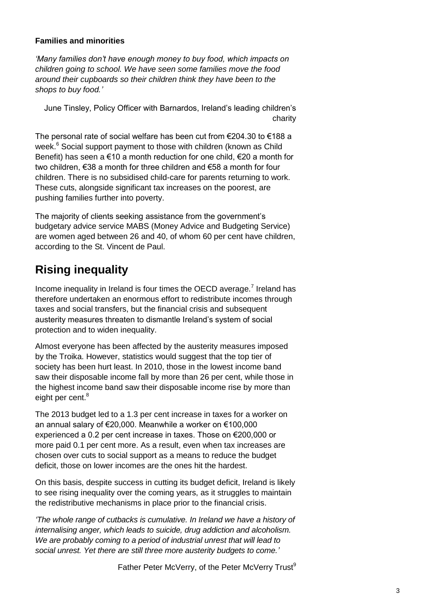#### **Families and minorities**

*'Many families don't have enough money to buy food, which impacts on children going to school. We have seen some families move the food around their cupboards so their children think they have been to the shops to buy food.'*

June Tinsley, Policy Officer with Barnardos, Ireland's leading children's charity

The personal rate of social welfare has been cut from €204.30 to €188 a week.<sup>6</sup> Social support payment to those with children (known as Child Benefit) has seen a €10 a month reduction for one child, €20 a month for two children, €38 a month for three children and €58 a month for four children. There is no subsidised child-care for parents returning to work. These cuts, alongside significant tax increases on the poorest, are pushing families further into poverty.

The majority of clients seeking assistance from the government's budgetary advice service MABS (Money Advice and Budgeting Service) are women aged between 26 and 40, of whom 60 per cent have children, according to the St. Vincent de Paul.

### **Rising inequality**

Income inequality in Ireland is four times the OECD average.<sup>7</sup> Ireland has therefore undertaken an enormous effort to redistribute incomes through taxes and social transfers, but the financial crisis and subsequent austerity measures threaten to dismantle Ireland's system of social protection and to widen inequality.

Almost everyone has been affected by the austerity measures imposed by the Troika. However, statistics would suggest that the top tier of society has been hurt least. In 2010, those in the lowest income band saw their disposable income fall by more than 26 per cent, while those in the highest income band saw their disposable income rise by more than eight per cent.<sup>8</sup>

The 2013 budget led to a 1.3 per cent increase in taxes for a worker on an annual salary of €20,000. Meanwhile a worker on €100,000 experienced a 0.2 per cent increase in taxes. Those on €200,000 or more paid 0.1 per cent more. As a result, even when tax increases are chosen over cuts to social support as a means to reduce the budget deficit, those on lower incomes are the ones hit the hardest.

On this basis, despite success in cutting its budget deficit, Ireland is likely to see rising inequality over the coming years, as it struggles to maintain the redistributive mechanisms in place prior to the financial crisis.

*'The whole range of cutbacks is cumulative. In Ireland we have a history of internalising anger, which leads to suicide, drug addiction and alcoholism. We are probably coming to a period of industrial unrest that will lead to social unrest. Yet there are still three more austerity budgets to come.'*

Father Peter McVerry, of the Peter McVerry Trust<sup>9</sup>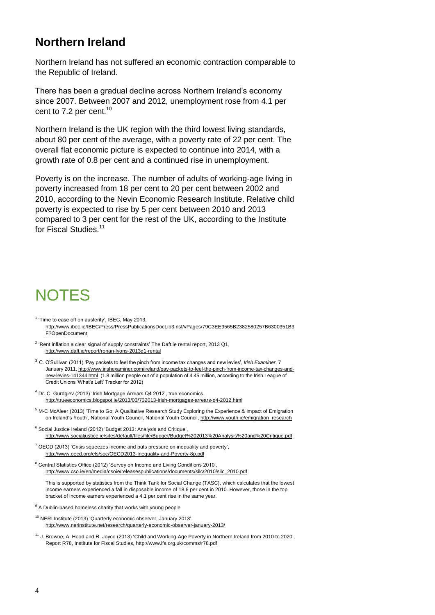### **Northern Ireland**

Northern Ireland has not suffered an economic contraction comparable to the Republic of Ireland.

There has been a gradual decline across Northern Ireland's economy since 2007. Between 2007 and 2012, unemployment rose from 4.1 per cent to 7.2 per cent. $10$ 

Northern Ireland is the UK region with the third lowest living standards, about 80 per cent of the average, with a poverty rate of 22 per cent. The overall flat economic picture is expected to continue into 2014, with a growth rate of 0.8 per cent and a continued rise in unemployment.

Poverty is on the increase. The number of adults of working-age living in poverty increased from 18 per cent to 20 per cent between 2002 and 2010, according to the Nevin Economic Research Institute. Relative child poverty is expected to rise by 5 per cent between 2010 and 2013 compared to 3 per cent for the rest of the UK, according to the Institute for Fiscal Studies.<sup>11</sup>

## **NOTES**

- $<sup>1</sup>$  'Time to ease off on austerity', IBEC, May 2013,</sup> [http://www.ibec.ie/IBEC/Press/PressPublicationsDocLib3.nsf/vPages/79C3EE9565B2382580257B6300351B3](http://www.ibec.ie/IBEC/Press/PressPublicationsDocLib3.nsf/vPages/79C3EE9565B2382580257B6300351B3F?OpenDocument) [F?OpenDocument](http://www.ibec.ie/IBEC/Press/PressPublicationsDocLib3.nsf/vPages/79C3EE9565B2382580257B6300351B3F?OpenDocument)
- $2$  'Rent inflation a clear signal of supply constraints' The Daft.ie rental report, 2013 Q1, <http://www.daft.ie/report/ronan-lyons-2013q1-rental>
- **<sup>3</sup>** C. O'Sullivan (2011) 'Pay packets to feel the pinch from income tax changes and new levies', *Irish Examiner*, 7 January 2011[, http://www.irishexaminer.com/ireland/pay-packets-to-feel-the-pinch-from-income-tax-changes-and](http://www.irishexaminer.com/ireland/pay-packets-to-feel-the-pinch-from-income-tax-changes-and-new-levies-141344.html)[new-levies-141344.html](http://www.irishexaminer.com/ireland/pay-packets-to-feel-the-pinch-from-income-tax-changes-and-new-levies-141344.html) (1.8 million people out of a population of 4.45 million, according to the Irish League of Credit Unions 'What's Left' Tracker for 2012)
- <sup>4</sup> Dr. C. Gurdgiev (2013) 'Irish Mortgage Arrears Q4 2012', true economics, <http://trueeconomics.blogspot.ie/2013/03/732013-irish-mortgages-arrears-q4-2012.html>
- <sup>5</sup> M-C McAleer (2013) 'Time to Go: A Qualitative Research Study Exploring the Experience & Impact of Emigration on Ireland's Youth', National Youth Council, National Youth Council, [http://www.youth.ie/emigration\\_research](http://www.youth.ie/emigration_research)
- <sup>6</sup> Social Justice Ireland (2012) 'Budget 2013: Analysis and Critique', <http://www.socialjustice.ie/sites/default/files/file/Budget/Budget%202013%20Analysis%20and%20Critique.pdf>
- $7$  OECD (2013) 'Crisis squeezes income and puts pressure on inequality and poverty', <http://www.oecd.org/els/soc/OECD2013-Inequality-and-Poverty-8p.pdf>
- <sup>8</sup> Central Statistics Office (2012) 'Survey on Income and Living Conditions 2010', [http://www.cso.ie/en/media/csoie/releasespublications/documents/silc/2010/silc\\_2010.pdf](http://www.cso.ie/en/media/csoie/releasespublications/documents/silc/2010/silc_2010.pdf)

This is supported by statistics from the Think Tank for Social Change (TASC), which calculates that the lowest income earners experienced a fall in disposable income of 18.6 per cent in 2010. However, those in the top bracket of income earners experienced a 4.1 per cent rise in the same year.

<sup>9</sup> A Dublin-based homeless charity that works with young people

<sup>10</sup> NERI Institute (2013) 'Quarterly economic observer, January 2013', <http://www.nerinstitute.net/research/quarterly-economic-observer-january-2013/>

<sup>11</sup> J. Browne, A. Hood and R. Joyce (2013) 'Child and Working-Age Poverty in Northern Ireland from 2010 to 2020', Report R78, Institute for Fiscal Studies[, http://www.ifs.org.uk/comms/r78.pdf](http://www.ifs.org.uk/comms/r78.pdf)